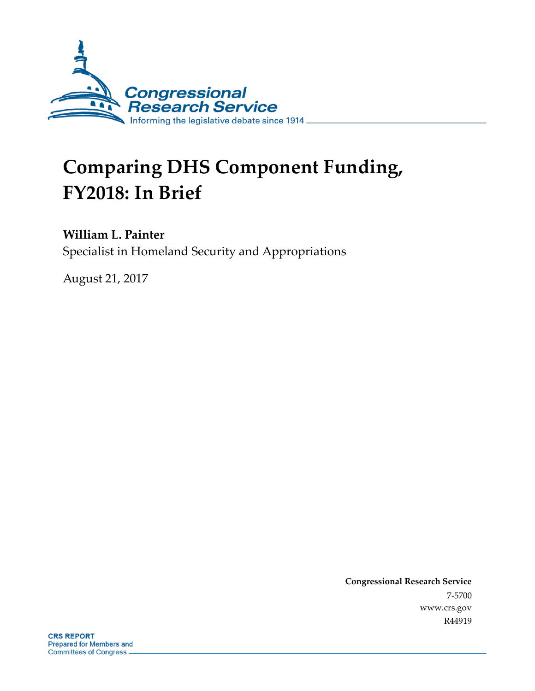

# **Comparing DHS Component Funding, FY2018: In Brief**

#### **William L. Painter**

Specialist in Homeland Security and Appropriations

August 21, 2017

**Congressional Research Service** 7-5700 www.crs.gov R44919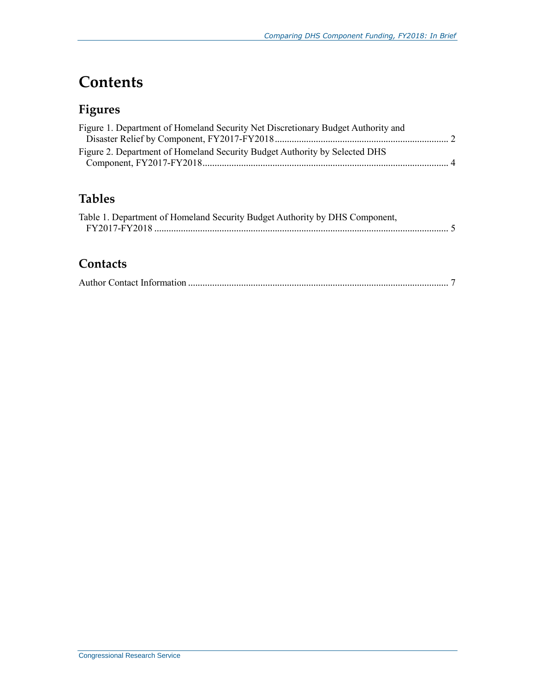## **Contents**

### **Figures**

| Figure 1. Department of Homeland Security Net Discretionary Budget Authority and |  |
|----------------------------------------------------------------------------------|--|
| Figure 2. Department of Homeland Security Budget Authority by Selected DHS       |  |

### **Tables**

| Table 1. Department of Homeland Security Budget Authority by DHS Component, |  |
|-----------------------------------------------------------------------------|--|
|                                                                             |  |

#### **Contacts**

|--|--|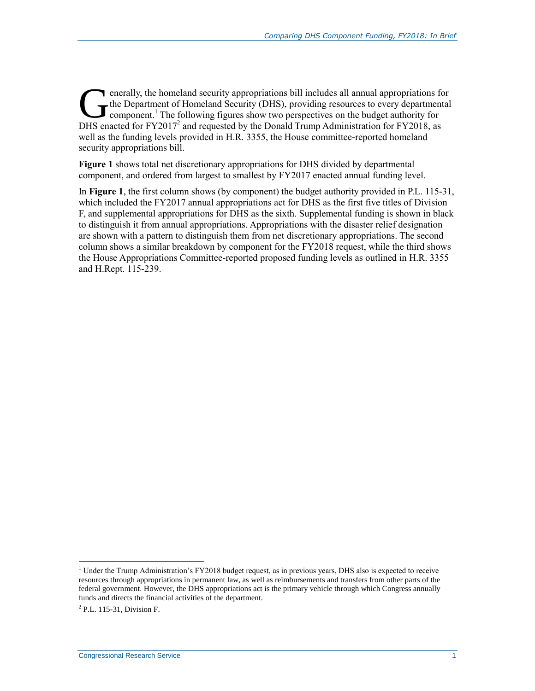enerally, the homeland security appropriations bill includes all annual appropriations for The Department of Homeland Security (DHS), providing resources to every departmental component.<sup>1</sup> The following figures show two perspectives on the budget authority for enacted for FY2017<sup>2</sup> and requested by the Donald Trump Administration for FY2018, as and requested by the Donald Trump Administration for FY2018, as and the subset of FY2017<sup>2</sup> and requested by the Donald Trump Administra well as the funding levels provided in H.R. 3355, the House committee-reported homeland security appropriations bill.

**[Figure 1](#page-3-0)** shows total net discretionary appropriations for DHS divided by departmental component, and ordered from largest to smallest by FY2017 enacted annual funding level.

In **[Figure 1](#page-3-0)**, the first column shows (by component) the budget authority provided in [P.L. 115-31,](http://www.congress.gov/cgi-lis/bdquery/R?d115:FLD002:@1(115+31)) which included the FY2017 annual appropriations act for DHS as the first five titles of Division F, and supplemental appropriations for DHS as the sixth. Supplemental funding is shown in black to distinguish it from annual appropriations. Appropriations with the disaster relief designation are shown with a pattern to distinguish them from net discretionary appropriations. The second column shows a similar breakdown by component for the FY2018 request, while the third shows the House Appropriations Committee-reported proposed funding levels as outlined in H.R. 3355 and [H.Rept. 115-239.](http://www.congress.gov/cgi-lis/cpquery/R?cp115:FLD010:@1(hr239):)

 $\overline{a}$ 

<sup>&</sup>lt;sup>1</sup> Under the Trump Administration's FY2018 budget request, as in previous years, DHS also is expected to receive resources through appropriations in permanent law, as well as reimbursements and transfers from other parts of the federal government. However, the DHS appropriations act is the primary vehicle through which Congress annually funds and directs the financial activities of the department.

<sup>&</sup>lt;sup>2</sup> P.L. 115-31, Division F.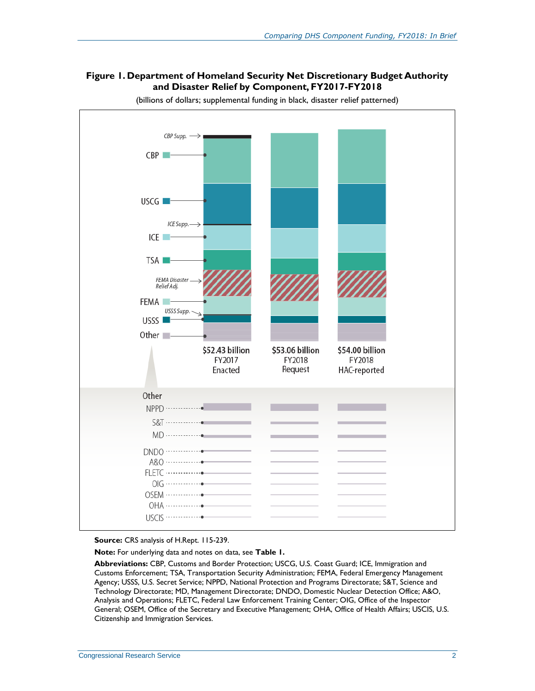#### <span id="page-3-0"></span>**Figure 1. Department of Homeland Security Net Discretionary Budget Authority and Disaster Relief by Component, FY2017-FY2018**



(billions of dollars; supplemental funding in black, disaster relief patterned)

**Source:** CRS analysis of H.Rept. 115-239.

**Note:** For underlying data and notes on data, see **[Table 1.](#page-6-0)**

**Abbreviations:** CBP, Customs and Border Protection; USCG, U.S. Coast Guard; ICE, Immigration and Customs Enforcement; TSA, Transportation Security Administration; FEMA, Federal Emergency Management Agency; USSS, U.S. Secret Service; NPPD, National Protection and Programs Directorate; S&T, Science and Technology Directorate; MD, Management Directorate; DNDO, Domestic Nuclear Detection Office; A&O, Analysis and Operations; FLETC, Federal Law Enforcement Training Center; OIG, Office of the Inspector General; OSEM, Office of the Secretary and Executive Management; OHA, Office of Health Affairs; USCIS, U.S. Citizenship and Immigration Services.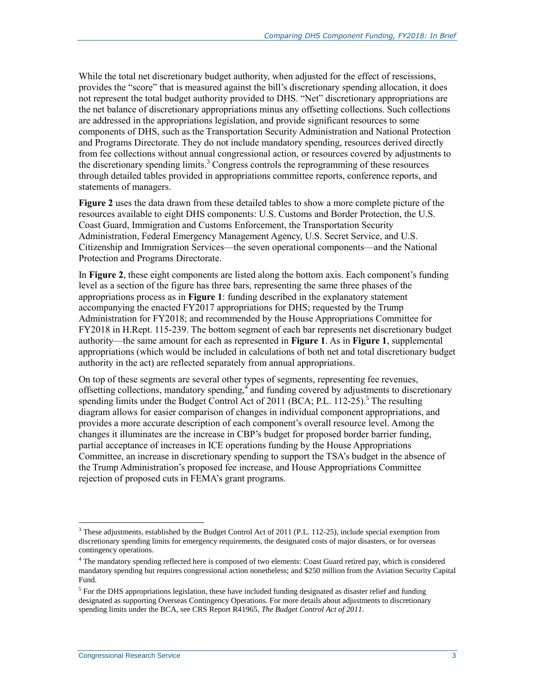While the total net discretionary budget authority, when adjusted for the effect of rescissions, provides the "score" that is measured against the bill's discretionary spending allocation, it does not represent the total budget authority provided to DHS. "Net" discretionary appropriations are the net balance of discretionary appropriations minus any offsetting collections. Such collections are addressed in the appropriations legislation, and provide significant resources to some components of DHS, such as the Transportation Security Administration and National Protection and Programs Directorate. They do not include mandatory spending, resources derived directly from fee collections without annual congressional action, or resources covered by adjustments to the discretionary spending limits. <sup>3</sup> Congress controls the reprogramming of these resources through detailed tables provided in appropriations committee reports, conference reports, and statements of managers.

**[Figure 2](#page-5-0)** uses the data drawn from these detailed tables to show a more complete picture of the resources available to eight DHS components: U.S. Customs and Border Protection, the U.S. Coast Guard, Immigration and Customs Enforcement, the Transportation Security Administration, Federal Emergency Management Agency, U.S. Secret Service, and U.S. Citizenship and Immigration Services—the seven operational components—and the National Protection and Programs Directorate.

In **[Figure 2](#page-5-0)**, these eight components are listed along the bottom axis. Each component's funding level as a section of the figure has three bars, representing the same three phases of the appropriations process as in **[Figure 1](#page-3-0)**: funding described in the explanatory statement accompanying the enacted FY2017 appropriations for DHS; requested by the Trump Administration for FY2018; and recommended by the House Appropriations Committee for FY2018 in [H.Rept. 115-239.](http://www.congress.gov/cgi-lis/cpquery/R?cp115:FLD010:@1(hr239):) The bottom segment of each bar represents net discretionary budget authority—the same amount for each as represented in **[Figure 1](#page-3-0)**. As in **[Figure 1](#page-3-0)**, supplemental appropriations (which would be included in calculations of both net and total discretionary budget authority in the act) are reflected separately from annual appropriations.

On top of these segments are several other types of segments, representing fee revenues, offsetting collections, mandatory spending, $\frac{4}{3}$  and funding covered by adjustments to discretionary spending limits under the Budget Control Act of 2011 (BCA; P.L. 112-25).<sup>5</sup> The resulting diagram allows for easier comparison of changes in individual component appropriations, and provides a more accurate description of each component's overall resource level. Among the changes it illuminates are the increase in CBP's budget for proposed border barrier funding, partial acceptance of increases in ICE operations funding by the House Appropriations Committee, an increase in discretionary spending to support the TSA's budget in the absence of the Trump Administration's proposed fee increase, and House Appropriations Committee rejection of proposed cuts in FEMA's grant programs.

 $\overline{a}$ 

<sup>3</sup> These adjustments, established by the Budget Control Act of 2011 (P.L. 112-25), include special exemption from discretionary spending limits for emergency requirements, the designated costs of major disasters, or for overseas contingency operations.

<sup>&</sup>lt;sup>4</sup> The mandatory spending reflected here is composed of two elements: Coast Guard retired pay, which is considered mandatory spending but requires congressional action nonetheless; and \$250 million from the Aviation Security Capital Fund.

 $<sup>5</sup>$  For the DHS appropriations legislation, these have included funding designated as disaster relief and funding</sup> designated as supporting Overseas Contingency Operations. For more details about adjustments to discretionary spending limits under the BCA, see CRS Report R41965, *The Budget Control Act of 2011*.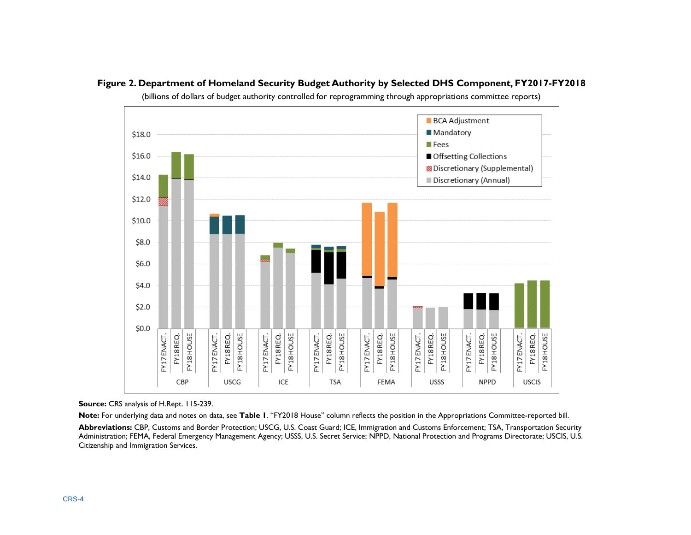<span id="page-5-0"></span>



(billions of dollars of budget authority controlled for reprogramming through appropriations committee reports)

**Source:** CRS analysis of [H.Rept. 115-239.](http://www.congress.gov/cgi-lis/cpquery/R?cp115:FLD010:@1(hr239):)

**Note:** For underlying data and notes on data, see **[Table 1](#page-6-1)**. "FY2018 House" column reflects the position in the Appropriations Committee-reported bill. **Abbreviations:** CBP, Customs and Border Protection; USCG, U.S. Coast Guard; ICE, Immigration and Customs Enforcement; TSA, Transportation Security Administration; FEMA, Federal Emergency Management Agency; USSS, U.S. Secret Service; NPPD, National Protection and Programs Directorate; USCIS, U.S. Citizenship and Immigration Services.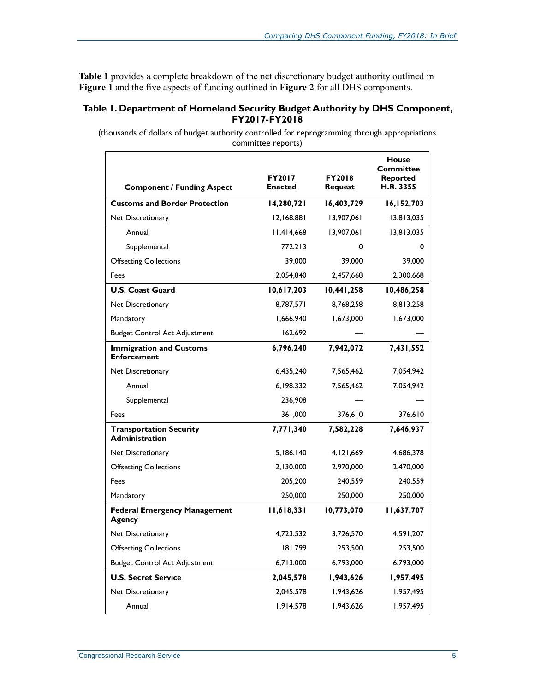<span id="page-6-1"></span>**[Table 1](#page-6-0)** provides a complete breakdown of the net discretionary budget authority outlined in **[Figure 1](#page-3-0)** and the five aspects of funding outlined in **[Figure 2](#page-5-0)** for all DHS components.

#### <span id="page-6-0"></span>**Table 1. Department of Homeland Security Budget Authority by DHS Component, FY2017-FY2018**

(thousands of dollars of budget authority controlled for reprogramming through appropriations committee reports)

| <b>Component / Funding Aspect</b>                       | <b>FY2017</b><br><b>Enacted</b> | <b>FY2018</b><br><b>Request</b> | House<br>Committee<br><b>Reported</b><br>H.R. 3355 |
|---------------------------------------------------------|---------------------------------|---------------------------------|----------------------------------------------------|
| <b>Customs and Border Protection</b>                    | 14,280,721                      | 16,403,729                      | 16,152,703                                         |
| Net Discretionary                                       | 12,168,881                      | 13,907,061                      | 13,813,035                                         |
| Annual                                                  | 11,414,668                      | 13,907,061                      | 13,813,035                                         |
| Supplemental                                            | 772,213                         | 0                               | 0                                                  |
| <b>Offsetting Collections</b>                           | 39,000                          | 39,000                          | 39,000                                             |
| Fees                                                    | 2,054,840                       | 2,457,668                       | 2,300,668                                          |
| <b>U.S. Coast Guard</b>                                 | 10,617,203                      | 10,441,258                      | 10,486,258                                         |
| Net Discretionary                                       | 8,787,571                       | 8,768,258                       | 8,813,258                                          |
| Mandatory                                               | 1,666,940                       | 1,673,000                       | 1,673,000                                          |
| <b>Budget Control Act Adjustment</b>                    | 162,692                         |                                 |                                                    |
| <b>Immigration and Customs</b><br><b>Enforcement</b>    | 6,796,240                       | 7,942,072                       | 7,431,552                                          |
| Net Discretionary                                       | 6,435,240                       | 7,565,462                       | 7,054,942                                          |
| Annual                                                  | 6.198.332                       | 7,565,462                       | 7,054,942                                          |
| Supplemental                                            | 236,908                         |                                 |                                                    |
| Fees                                                    | 361,000                         | 376,610                         | 376,610                                            |
| <b>Transportation Security</b><br><b>Administration</b> | 7,771,340                       | 7,582,228                       | 7,646,937                                          |
| Net Discretionary                                       | 5,186,140                       | 4,121,669                       | 4,686,378                                          |
| <b>Offsetting Collections</b>                           | 2,130,000                       | 2,970,000                       | 2,470,000                                          |
| Fees                                                    | 205,200                         | 240,559                         | 240,559                                            |
| Mandatory                                               | 250,000                         | 250,000                         | 250,000                                            |
| <b>Federal Emergency Management</b><br>Agency           | 11,618,331                      | 10,773,070                      | 11,637,707                                         |
| Net Discretionary                                       | 4.723.532                       | 3,726,570                       | 4,591,207                                          |
| <b>Offsetting Collections</b>                           | 181,799                         | 253,500                         | 253,500                                            |
| <b>Budget Control Act Adjustment</b>                    | 6,713,000                       | 6,793,000                       | 6,793,000                                          |
| <b>U.S. Secret Service</b>                              | 2,045,578                       | 1,943,626                       | 1,957,495                                          |
| Net Discretionary                                       | 2,045,578                       | 1,943,626                       | 1,957,495                                          |
| Annual                                                  | 1,914,578                       | 1,943,626                       | 1,957,495                                          |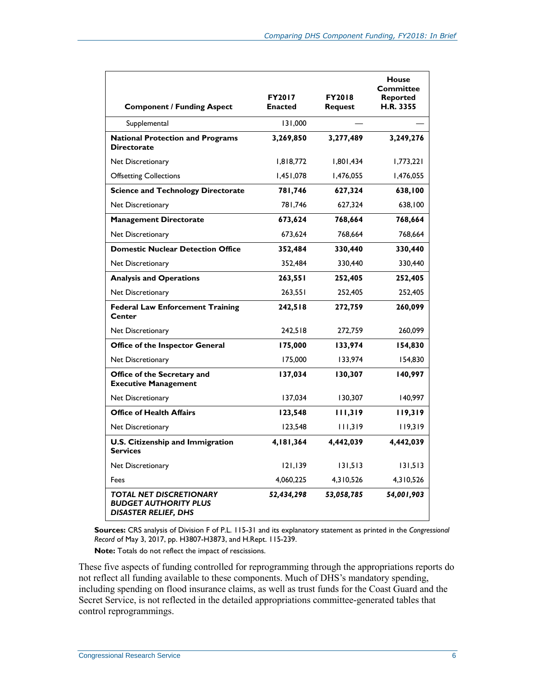| <b>Component / Funding Aspect</b>                                                             | <b>FY2017</b><br><b>Enacted</b> | <b>FY2018</b><br>Request | <b>House</b><br><b>Committee</b><br><b>Reported</b><br>H.R. 3355 |
|-----------------------------------------------------------------------------------------------|---------------------------------|--------------------------|------------------------------------------------------------------|
| Supplemental                                                                                  | 131,000                         |                          |                                                                  |
| <b>National Protection and Programs</b><br><b>Directorate</b>                                 | 3,269,850                       | 3,277,489                | 3,249,276                                                        |
| Net Discretionary                                                                             | 1,818,772                       | 1,801,434                | 1,773,221                                                        |
| <b>Offsetting Collections</b>                                                                 | 1,451,078                       | 1,476,055                | 1,476,055                                                        |
| <b>Science and Technology Directorate</b>                                                     | 781,746                         | 627,324                  | 638,100                                                          |
| Net Discretionary                                                                             | 781,746                         | 627,324                  | 638,100                                                          |
| <b>Management Directorate</b>                                                                 | 673,624                         | 768,664                  | 768,664                                                          |
| Net Discretionary                                                                             | 673,624                         | 768,664                  | 768,664                                                          |
| <b>Domestic Nuclear Detection Office</b>                                                      | 352,484                         | 330,440                  | 330,440                                                          |
| Net Discretionary                                                                             | 352,484                         | 330,440                  | 330,440                                                          |
| <b>Analysis and Operations</b>                                                                | 263,551                         | 252,405                  | 252,405                                                          |
| Net Discretionary                                                                             | 263,551                         | 252,405                  | 252,405                                                          |
| <b>Federal Law Enforcement Training</b><br>Center                                             | 242,518                         | 272,759                  | 260,099                                                          |
| Net Discretionary                                                                             | 242,518                         | 272,759                  | 260,099                                                          |
| <b>Office of the Inspector General</b>                                                        | 175,000                         | 133,974                  | 154,830                                                          |
| Net Discretionary                                                                             | 175,000                         | 133,974                  | 154,830                                                          |
| Office of the Secretary and<br><b>Executive Management</b>                                    | 137,034                         | 130,307                  | 140,997                                                          |
| Net Discretionary                                                                             | 137,034                         | 130.307                  | 140,997                                                          |
| <b>Office of Health Affairs</b>                                                               | 123,548                         | 111,319                  | 119,319                                                          |
| Net Discretionary                                                                             | 123,548                         | 111,319                  | 119,319                                                          |
| U.S. Citizenship and Immigration<br><b>Services</b>                                           | 4,181,364                       | 4,442,039                | 4,442,039                                                        |
| Net Discretionary                                                                             | 121, 139                        | 131,513                  | 131,513                                                          |
| Fees                                                                                          | 4,060,225                       | 4,310,526                | 4,310,526                                                        |
| <b>TOTAL NET DISCRETIONARY</b><br><b>BUDGET AUTHORITY PLUS</b><br><b>DISASTER RELIEF, DHS</b> | 52,434,298                      | 53,058,785               | 54,001,903                                                       |

**Sources:** CRS analysis of Division F of [P.L. 115-31](http://www.congress.gov/cgi-lis/bdquery/R?d115:FLD002:@1(115+31)) and its explanatory statement as printed in the *Congressional Record* of May 3, 2017, pp. H3807-H3873, and H.Rept. 115-239.

**Note:** Totals do not reflect the impact of rescissions.

These five aspects of funding controlled for reprogramming through the appropriations reports do not reflect all funding available to these components. Much of DHS's mandatory spending, including spending on flood insurance claims, as well as trust funds for the Coast Guard and the Secret Service, is not reflected in the detailed appropriations committee-generated tables that control reprogrammings.